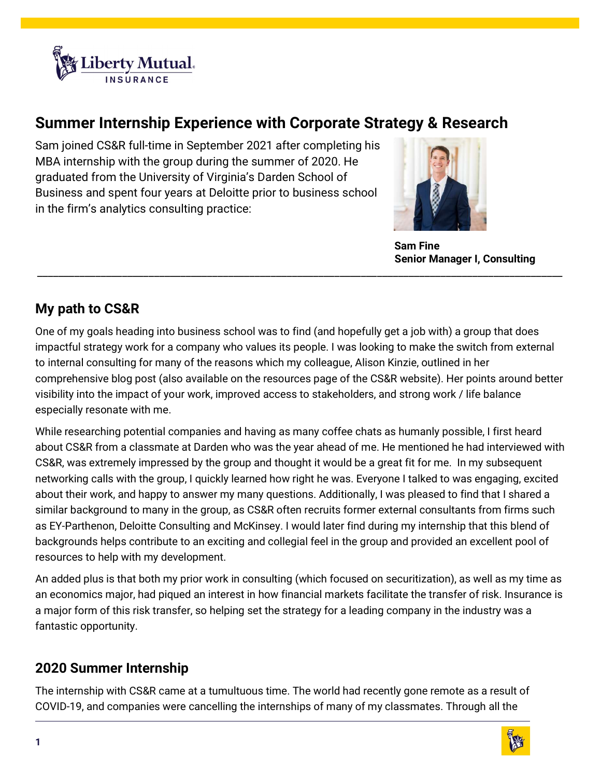

## Summer Internship Experience with Corporate Strategy & Research

Sam joined CS&R full-time in September 2021 after completing his MBA internship with the group during the summer of 2020. He graduated from the University of Virginia's Darden School of Business and spent four years at Deloitte prior to business school in the firm's analytics consulting practice:



 Sam Fine Senior Manager I, Consulting

## My path to CS&R

One of my goals heading into business school was to find (and hopefully get a job with) a group that does impactful strategy work for a company who values its people. I was looking to make the switch from external to internal consulting for many of the reasons which my colleague, Alison Kinzie, outlined in her comprehensive blog post (also available on the resources page of the CS&R website). Her points around better visibility into the impact of your work, improved access to stakeholders, and strong work / life balance especially resonate with me.

\_\_\_\_\_\_\_\_\_\_\_\_\_\_\_\_\_\_\_\_\_\_\_\_\_\_\_\_\_\_\_\_\_\_\_\_\_\_\_\_\_\_\_\_\_\_\_\_\_\_\_\_\_\_\_\_\_\_\_\_\_\_\_\_\_\_\_\_\_\_\_\_\_\_\_\_\_\_\_\_\_\_\_\_\_\_\_\_\_\_\_\_\_\_\_\_\_\_\_

While researching potential companies and having as many coffee chats as humanly possible, I first heard about CS&R from a classmate at Darden who was the year ahead of me. He mentioned he had interviewed with CS&R, was extremely impressed by the group and thought it would be a great fit for me. In my subsequent networking calls with the group, I quickly learned how right he was. Everyone I talked to was engaging, excited about their work, and happy to answer my many questions. Additionally, I was pleased to find that I shared a similar background to many in the group, as CS&R often recruits former external consultants from firms such as EY-Parthenon, Deloitte Consulting and McKinsey. I would later find during my internship that this blend of backgrounds helps contribute to an exciting and collegial feel in the group and provided an excellent pool of resources to help with my development.

An added plus is that both my prior work in consulting (which focused on securitization), as well as my time as an economics major, had piqued an interest in how financial markets facilitate the transfer of risk. Insurance is a major form of this risk transfer, so helping set the strategy for a leading company in the industry was a fantastic opportunity.

## 2020 Summer Internship

The internship with CS&R came at a tumultuous time. The world had recently gone remote as a result of COVID-19, and companies were cancelling the internships of many of my classmates. Through all the